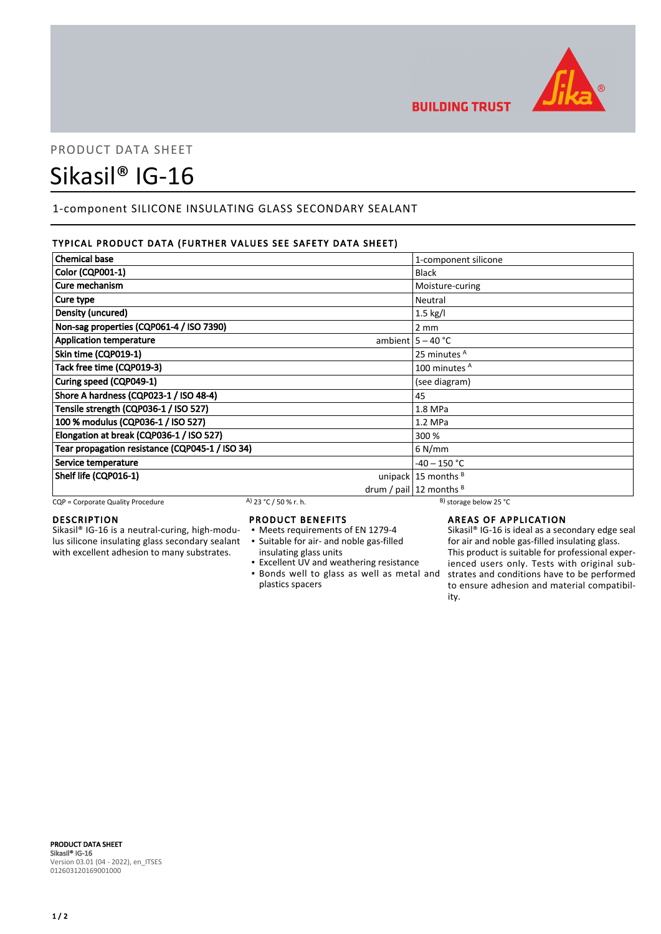

# PRODUCT DATA SHEET Sikasil® IG-16

## 1-component SILICONE INSULATING GLASS SECONDARY SEALANT

## TYPICAL PRODUCT DATA (FURTHER VALUES SEE SAFETY DATA SHEET)

| <b>Chemical base</b>                            | 1-component silicone           |
|-------------------------------------------------|--------------------------------|
| Color (CQP001-1)                                | <b>Black</b>                   |
| Cure mechanism                                  | Moisture-curing                |
| Cure type                                       | Neutral                        |
| Density (uncured)                               | $1.5$ kg/l                     |
| Non-sag properties (CQP061-4 / ISO 7390)        | $2 \, \text{mm}$               |
| <b>Application temperature</b>                  | ambient $5 - 40$ °C            |
| Skin time (CQP019-1)                            | 25 minutes <sup>A</sup>        |
| Tack free time (CQP019-3)                       | 100 minutes <sup>A</sup>       |
| Curing speed (CQP049-1)                         | (see diagram)                  |
| Shore A hardness (CQP023-1 / ISO 48-4)          | 45                             |
| Tensile strength (CQP036-1 / ISO 527)           | $1.8$ MPa                      |
| 100 % modulus (CQP036-1 / ISO 527)              | $1.2$ MPa                      |
| Elongation at break (CQP036-1 / ISO 527)        | 300 %                          |
| Tear propagation resistance (CQP045-1 / ISO 34) | $6$ N/mm                       |
| Service temperature                             | $-40 - 150 °C$                 |
| Shelf life (CQP016-1)                           | unipack $15$ months $B$        |
|                                                 | drum / pail $ 12$ months $ B $ |

CQP = Corporate Quality Procedure A) 23 °C / 50 % r. h. B) storage below 25 °C

## DESCRIPTION

Sikasil® IG-16 is a neutral-curing, high-modulus silicone insulating glass secondary sealant with excellent adhesion to many substrates.

## PRODUCT BENEFITS

- Meets requirements of EN 1279-4
- Suitable for air- and noble gas-filled ▪
- insulating glass units
- Excellent UV and weathering resistance **.** Bonds well to glass as well as metal and plastics spacers

## AREAS OF APPLICATION

Sikasil® IG-16 is ideal as a secondary edge seal for air and noble gas-filled insulating glass. This product is suitable for professional experienced users only. Tests with original substrates and conditions have to be performed to ensure adhesion and material compatibility.